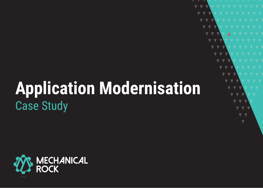# **Application Modernisation** Case Study

 $\blacktriangledown$ 

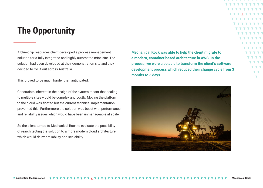### **The Opportunity**

A blue-chip resources client developed a process management solution for a fully integrated and highly automated mine site. The solution had been developed at their demonstration site and they decided to roll it out across Australia.

This proved to be much harder than anticipated.

Constraints inherent in the design of the system meant that scaling to multiple sites would be complex and costly. Moving the platform to the cloud was floated but the current technical implementation prevented this. Furthermore the solution was beset with performance and reliability issues which would have been unmanageable at scale.

So the client turned to Mechanical Rock to evaluate the possibility of rearchitecting the solution to a more modern cloud architecture, which would deliver reliability and scalability.

**Mechanical Rock was able to help the client migrate to a modern, container based architecture in AWS. In the process, we were also able to transform the client's software development process which reduced their change cycle from 3 months to 3 days.**

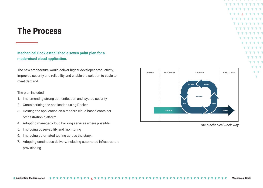### **The Process**

**Mechanical Rock established a seven point plan for a modernised cloud application.**

The new architecture would deliver higher developer productivity, improved security and reliability and enable the solution to scale to meet demand.

#### The plan included:

- 1. Implementing strong authentication and layered security
- 2. Containerising the application using Docker
- 3. Hosting the application on a modern cloud-based container orchestration platform
- 4. Adopting managed cloud backing services where possible
- 5. Improving observability and monitoring
- 6. Improving automated testing across the stack
- 7. Adopting continuous delivery, including automated infrastructure provisioning



*The Mechanical Rock Way*

 $\overline{\phantom{a}}$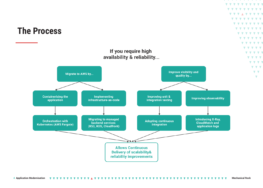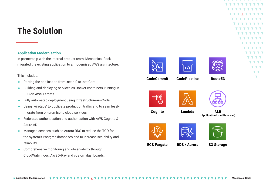### **The Solution**

### **Application Modernisation**

In partnership with the internal product team, Mechanical Rock migrated the existing application to a modernised AWS architecture.

#### This included:

- Porting the application from .net 4.0 to .net Core
- Building and deploying services as Docker containers, running in ECS on AWS Fargate.
- Fully automated deployment using Infrastructure-As-Code.
- Using 'wiretaps' to duplicate production traffic and to seamlessly migrate from on-premise to cloud services.
- Federated authentication and authorisation with AWS Cognito & Azure AD.
- Managed services such as Aurora RDS to reduce the TCO for the system's Postgres databases and to increase scalability and reliability.
- Comprehensive monitoring and observability through CloudWatch logs, AWS X-Ray and custom dashboards.









 $\blacktriangledown$   $\blacktriangledown$ 

**CodeCommit** 

**CodePipeline** 

Route<sub>53</sub>



Cognito





**ALB** (Application Load Balancer)





Lambda



**S3 Storage** 

**ECS Fargate** 

**RDS / Aurora** 

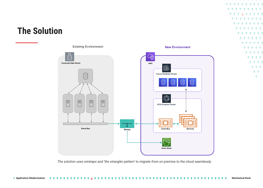### **The Solution**



 $\overline{\phantom{a}}$  $\overline{\phantom{0}}$ 

*The solution uses wiretaps and 'the strangler pattern' to migrate from on premise to the cloud seamlessly.*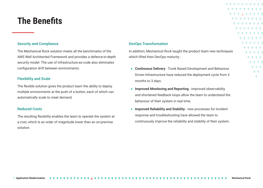### **The Benefits**

#### **Security and Compliance**

The Mechanical Rock solution meets all the benchmarks of the AWS Well Architected Framework and provides a defence-in-depth security model. The use of infrastructure-as-code also eliminates configuration drift between environments.

### **Flexibility and Scale**

The flexible solution gives the product team the ability to deploy multiple environments at the push of a button, each of which can automatically scale to meet demand.

#### **Reduced Costs**

The resulting flexibility enables the team to operate the system at a cost, which is an order of magnitude lower than an on-premise solution.

#### **DevOps Transformation**

In addition, Mechanical Rock taught the product team new techniques which lifted their DevOps maturity :

● **Continuous Delivery** - Trunk Based Development and Behaviour Driven Infrastructure have reduced the deployment cycle from 3 months to 3 days.

 $\blacktriangledown$   $\blacktriangledown$  $\blacksquare$ 

- **Improved Monitoring and Reporting improved observability** and shortened feedback loops allow the team to understand the behaviour of their system in real time.
- **Improved Reliability and Stability** new processes for incident response and troubleshooting have allowed the team to continuously improve the reliability and stability of their system.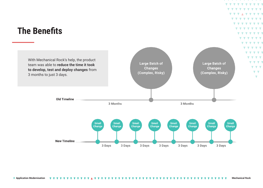